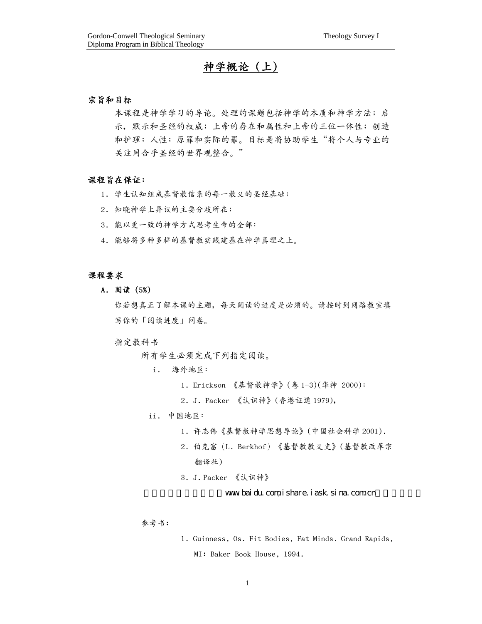# 神學概論 (上)

## 宗旨和目標

本课程是神学学习的导论。处理的课题包括神学的本质和神学方法;启 示,默示和圣经的权威;上帝的存在和属性和上帝的三位一体性;创造 和护理;人性;原罪和实际的罪。目标是将协助学生"将个人与专业的 关注同合乎圣经的世界观整合。"

## 課程旨在保證:

- 1. 学生认知组成基督教信条的每一教义的圣经基础;
- 2. 知曉神學上異議的主要分歧所在;
- 3. 能以更一致的神學方式思考生命的全部;
- 4. 能夠將多種多樣的基督教實踐建基在神學真理之上。

#### 課程要求

A. 閱讀 (5%)

你若想真正了解本课的主题,每天阅读的进度是必须的。请按时到网路教室填 寫你的「閱讀進度」問卷。

#### 指定教科書

所有學生必須完成下列指定閱讀。

i. 海外地區:

- 1. Erickson 《基督教神學》(卷 1-3)(華神 2000);
- 2. J. Packer 《认识神》(香港证道 1979),

## ii. 中國地區:

- 1. 許志偉《基督教神學思想導論》(中國社會科學 2001).
- 2. 伯克富(L. Berkhof) 《基督教教义史》(基督教改革宗 翻譯社)
- 3. J. Packer 《认识神》

www.baidu.com,ishare.iask.sina.com.cn

## 参考书:

1. Guinness, Os. Fit Bodies, Fat Minds. Grand Rapids, MI: Baker Book House, 1994.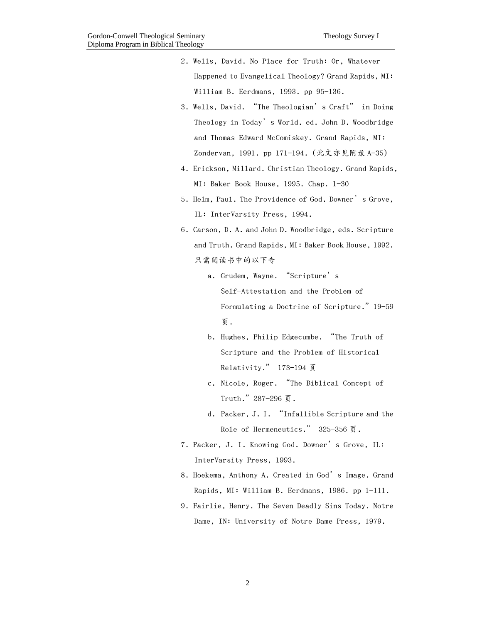| 2. Wells, David. No Place for Truth: Or, Whatever   |
|-----------------------------------------------------|
| Happened to Evangelical Theology? Grand Rapids, MI: |
| William B. Eerdmans, $1993$ . pp $95-136$ .         |

- 3. Wells, David. "The Theologian's Craft" in Doing Theology in Today's World. ed. John D. Woodbridge and Thomas Edward McComiskey. Grand Rapids, MI: Zondervan, 1991. pp 171-194. (此文亦見附錄 A-35)
- 4. Erickson, Millard. Christian Theology. Grand Rapids, MI: Baker Book House, 1995. Chap. 1-30
- 5. Helm, Paul. The Providence of God. Downer's Grove, IL: InterVarsity Press, 1994.
- 6. Carson, D. A. and John D. Woodbridge, eds. Scripture and Truth. Grand Rapids, MI: Baker Book House, 1992. 只需閱讀書中的以下專
	- a. Grudem, Wayne. "Scripture's Self-Attestation and the Problem of Formulating a Doctrine of Scripture."19-59 頁.
	- b. Hughes, Philip Edgecumbe. "The Truth of Scripture and the Problem of Historical Relativity." 173-194 頁
	- c. Nicole, Roger. "The Biblical Concept of Truth."287-296 頁.
	- d. Packer, J. I. "Infallible Scripture and the Role of Hermeneutics." 325-356 页.
- 7. Packer, J. I. Knowing God. Downer's Grove, IL: InterVarsity Press, 1993.
- 8. Hoekema, Anthony A. Created in God's Image. Grand Rapids, MI: William B. Eerdmans, 1986. pp 1-111.
- 9. Fairlie, Henry. The Seven Deadly Sins Today. Notre Dame, IN: University of Notre Dame Press, 1979.